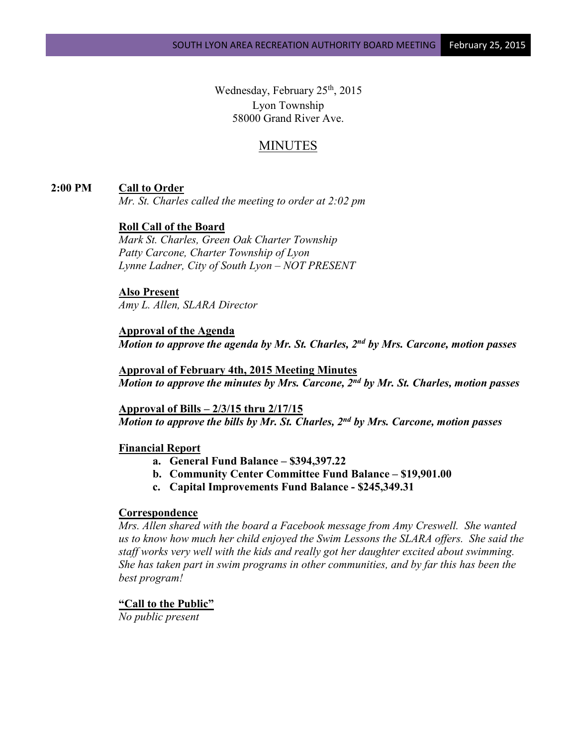Wednesday, February  $25<sup>th</sup>$ , 2015 Lyon Township 58000 Grand River Ave.

# MINUTES

### **2:00 PM Call to Order**

*Mr. St. Charles called the meeting to order at 2:02 pm*

## **Roll Call of the Board**

*Mark St. Charles, Green Oak Charter Township Patty Carcone, Charter Township of Lyon Lynne Ladner, City of South Lyon – NOT PRESENT*

## **Also Present**

*Amy L. Allen, SLARA Director*

### **Approval of the Agenda** *Motion to approve the agenda by Mr. St. Charles, 2nd by Mrs. Carcone, motion passes*

**Approval of February 4th, 2015 Meeting Minutes** *Motion to approve the minutes by Mrs. Carcone, 2nd by Mr. St. Charles, motion passes*

**Approval of Bills – 2/3/15 thru 2/17/15** *Motion to approve the bills by Mr. St. Charles, 2nd by Mrs. Carcone, motion passes*

### **Financial Report**

- **a. General Fund Balance – \$394,397.22**
- **b. Community Center Committee Fund Balance – \$19,901.00**
- **c. Capital Improvements Fund Balance - \$245,349.31**

### **Correspondence**

*Mrs. Allen shared with the board a Facebook message from Amy Creswell. She wanted us to know how much her child enjoyed the Swim Lessons the SLARA offers. She said the staff works very well with the kids and really got her daughter excited about swimming. She has taken part in swim programs in other communities, and by far this has been the best program!*

#### **"Call to the Public"**

*No public present*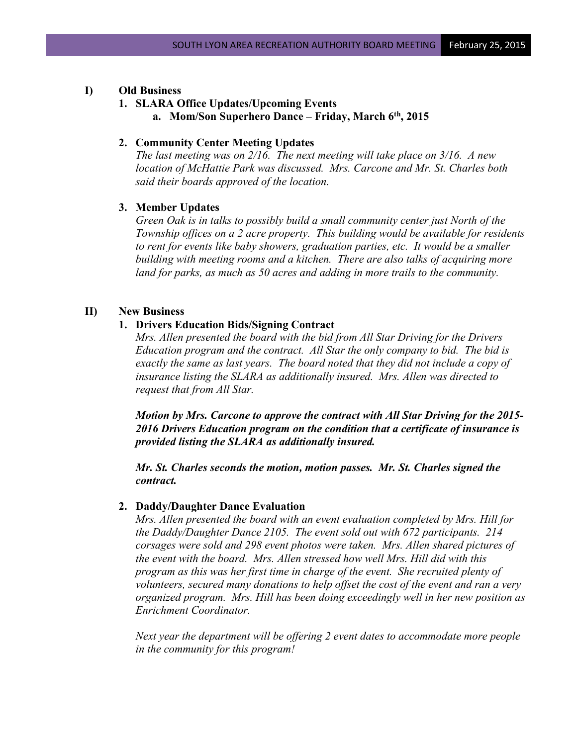### **I) Old Business**

### **1. SLARA Office Updates/Upcoming Events**

**a. Mom/Son Superhero Dance – Friday, March 6th, 2015**

#### **2. Community Center Meeting Updates**

*The last meeting was on 2/16. The next meeting will take place on 3/16. A new location of McHattie Park was discussed. Mrs. Carcone and Mr. St. Charles both said their boards approved of the location.*

## **3. Member Updates**

*Green Oak is in talks to possibly build a small community center just North of the Township offices on a 2 acre property. This building would be available for residents to rent for events like baby showers, graduation parties, etc. It would be a smaller building with meeting rooms and a kitchen. There are also talks of acquiring more land for parks, as much as 50 acres and adding in more trails to the community.*

## **II) New Business**

### **1. Drivers Education Bids/Signing Contract**

*Mrs. Allen presented the board with the bid from All Star Driving for the Drivers Education program and the contract. All Star the only company to bid. The bid is exactly the same as last years. The board noted that they did not include a copy of insurance listing the SLARA as additionally insured. Mrs. Allen was directed to request that from All Star.*

*Motion by Mrs. Carcone to approve the contract with All Star Driving for the 2015- 2016 Drivers Education program on the condition that a certificate of insurance is provided listing the SLARA as additionally insured.* 

*Mr. St. Charles seconds the motion, motion passes. Mr. St. Charles signed the contract.*

#### **2. Daddy/Daughter Dance Evaluation**

*Mrs. Allen presented the board with an event evaluation completed by Mrs. Hill for the Daddy/Daughter Dance 2105. The event sold out with 672 participants. 214 corsages were sold and 298 event photos were taken. Mrs. Allen shared pictures of the event with the board. Mrs. Allen stressed how well Mrs. Hill did with this program as this was her first time in charge of the event. She recruited plenty of volunteers, secured many donations to help offset the cost of the event and ran a very organized program. Mrs. Hill has been doing exceedingly well in her new position as Enrichment Coordinator.*

*Next year the department will be offering 2 event dates to accommodate more people in the community for this program!*